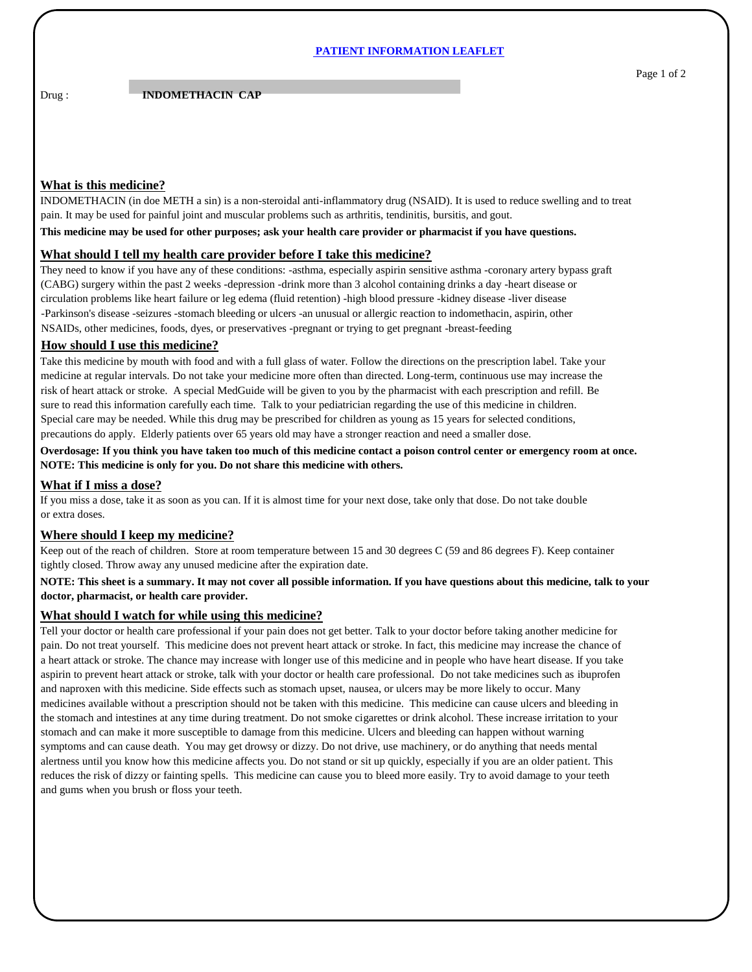### **PATIENT INFORMATION LEAFLET**

# **Drug : <b>INDOMETHACIN CAP**

## **What is this medicine?**

INDOMETHACIN (in doe METH a sin) is a non-steroidal anti-inflammatory drug (NSAID). It is used to reduce swelling and to treat pain. It may be used for painful joint and muscular problems such as arthritis, tendinitis, bursitis, and gout.

#### **This medicine may be used for other purposes; ask your health care provider or pharmacist if you have questions.**

#### **What should I tell my health care provider before I take this medicine?**

They need to know if you have any of these conditions: -asthma, especially aspirin sensitive asthma -coronary artery bypass graft (CABG) surgery within the past 2 weeks -depression -drink more than 3 alcohol containing drinks a day -heart disease or circulation problems like heart failure or leg edema (fluid retention) -high blood pressure -kidney disease -liver disease -Parkinson's disease -seizures -stomach bleeding or ulcers -an unusual or allergic reaction to indomethacin, aspirin, other NSAIDs, other medicines, foods, dyes, or preservatives -pregnant or trying to get pregnant -breast-feeding

### **How should I use this medicine?**

Take this medicine by mouth with food and with a full glass of water. Follow the directions on the prescription label. Take your medicine at regular intervals. Do not take your medicine more often than directed. Long-term, continuous use may increase the risk of heart attack or stroke. A special MedGuide will be given to you by the pharmacist with each prescription and refill. Be sure to read this information carefully each time. Talk to your pediatrician regarding the use of this medicine in children. Special care may be needed. While this drug may be prescribed for children as young as 15 years for selected conditions, precautions do apply. Elderly patients over 65 years old may have a stronger reaction and need a smaller dose.

**Overdosage: If you think you have taken too much of this medicine contact a poison control center or emergency room at once. NOTE: This medicine is only for you. Do not share this medicine with others.**

### **What if I miss a dose?**

If you miss a dose, take it as soon as you can. If it is almost time for your next dose, take only that dose. Do not take double or extra doses.

## **Where should I keep my medicine?**

Keep out of the reach of children. Store at room temperature between 15 and 30 degrees C (59 and 86 degrees F). Keep container tightly closed. Throw away any unused medicine after the expiration date.

## **NOTE: This sheet is a summary. It may not cover all possible information. If you have questions about this medicine, talk to your doctor, pharmacist, or health care provider.**

## **What should I watch for while using this medicine?**

Tell your doctor or health care professional if your pain does not get better. Talk to your doctor before taking another medicine for pain. Do not treat yourself. This medicine does not prevent heart attack or stroke. In fact, this medicine may increase the chance of a heart attack or stroke. The chance may increase with longer use of this medicine and in people who have heart disease. If you take aspirin to prevent heart attack or stroke, talk with your doctor or health care professional. Do not take medicines such as ibuprofen and naproxen with this medicine. Side effects such as stomach upset, nausea, or ulcers may be more likely to occur. Many medicines available without a prescription should not be taken with this medicine. This medicine can cause ulcers and bleeding in the stomach and intestines at any time during treatment. Do not smoke cigarettes or drink alcohol. These increase irritation to your stomach and can make it more susceptible to damage from this medicine. Ulcers and bleeding can happen without warning symptoms and can cause death. You may get drowsy or dizzy. Do not drive, use machinery, or do anything that needs mental alertness until you know how this medicine affects you. Do not stand or sit up quickly, especially if you are an older patient. This reduces the risk of dizzy or fainting spells. This medicine can cause you to bleed more easily. Try to avoid damage to your teeth and gums when you brush or floss your teeth.